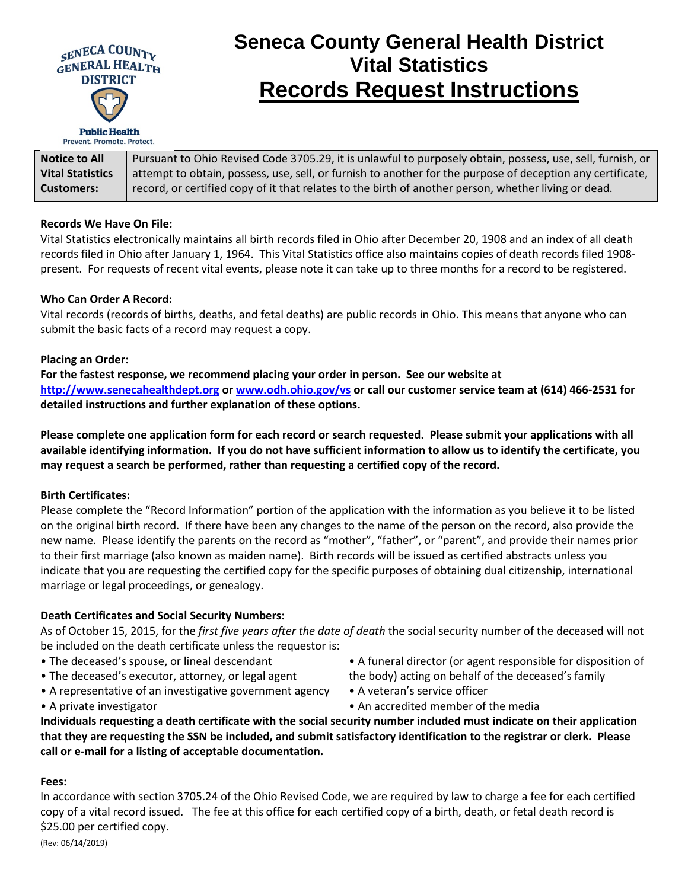

Prevent. Promote. Protect.

# **Seneca County General Health District Vital Statistics Records Request Instructions**

| <b>Notice to All</b>    | Pursuant to Ohio Revised Code 3705.29, it is unlawful to purposely obtain, possess, use, sell, furnish, or |
|-------------------------|------------------------------------------------------------------------------------------------------------|
| <b>Vital Statistics</b> | attempt to obtain, possess, use, sell, or furnish to another for the purpose of deception any certificate, |
| <b>Customers:</b>       | record, or certified copy of it that relates to the birth of another person, whether living or dead.       |

#### **Records We Have On File:**

Vital Statistics electronically maintains all birth records filed in Ohio after December 20, 1908 and an index of all death records filed in Ohio after January 1, 1964. This Vital Statistics office also maintains copies of death records filed 1908 present. For requests of recent vital events, please note it can take up to three months for a record to be registered.

#### **Who Can Order A Record:**

Vital records (records of births, deaths, and fetal deaths) are public records in Ohio. This means that anyone who can submit the basic facts of a record may request a copy.

#### **Placing an Order:**

**For the fastest response, we recommend placing your order in person. See our website at [http://www.senecahealthdept.org](http://www.senecahealthdept.org/) or [www.odh.ohio.gov/vs](http://www.odh.ohio.gov/vs) or call our customer service team at (614) 466-2531 for detailed instructions and further explanation of these options.** 

**Please complete one application form for each record or search requested. Please submit your applications with all available identifying information. If you do not have sufficient information to allow us to identify the certificate, you may request a search be performed, rather than requesting a certified copy of the record.** 

#### **Birth Certificates:**

Please complete the "Record Information" portion of the application with the information as you believe it to be listed on the original birth record. If there have been any changes to the name of the person on the record, also provide the new name. Please identify the parents on the record as "mother", "father", or "parent", and provide their names prior to their first marriage (also known as maiden name). Birth records will be issued as certified abstracts unless you indicate that you are requesting the certified copy for the specific purposes of obtaining dual citizenship, international marriage or legal proceedings, or genealogy.

#### **Death Certificates and Social Security Numbers:**

As of October 15, 2015, for the *first five years after the date of death* the social security number of the deceased will not be included on the death certificate unless the requestor is:

- The deceased's spouse, or lineal descendant
- The deceased's executor, attorney, or legal agent
- A representative of an investigative government agency
- A private investigator
- A funeral director (or agent responsible for disposition of the body) acting on behalf of the deceased's family
- A veteran's service officer
- An accredited member of the media

**Individuals requesting a death certificate with the social security number included must indicate on their application that they are requesting the SSN be included, and submit satisfactory identification to the registrar or clerk. Please call or e-mail for a listing of acceptable documentation.**

#### **Fees:**

In accordance with section 3705.24 of the Ohio Revised Code, we are required by law to charge a fee for each certified copy of a vital record issued. The fee at this office for each certified copy of a birth, death, or fetal death record is \$25.00 per certified copy.